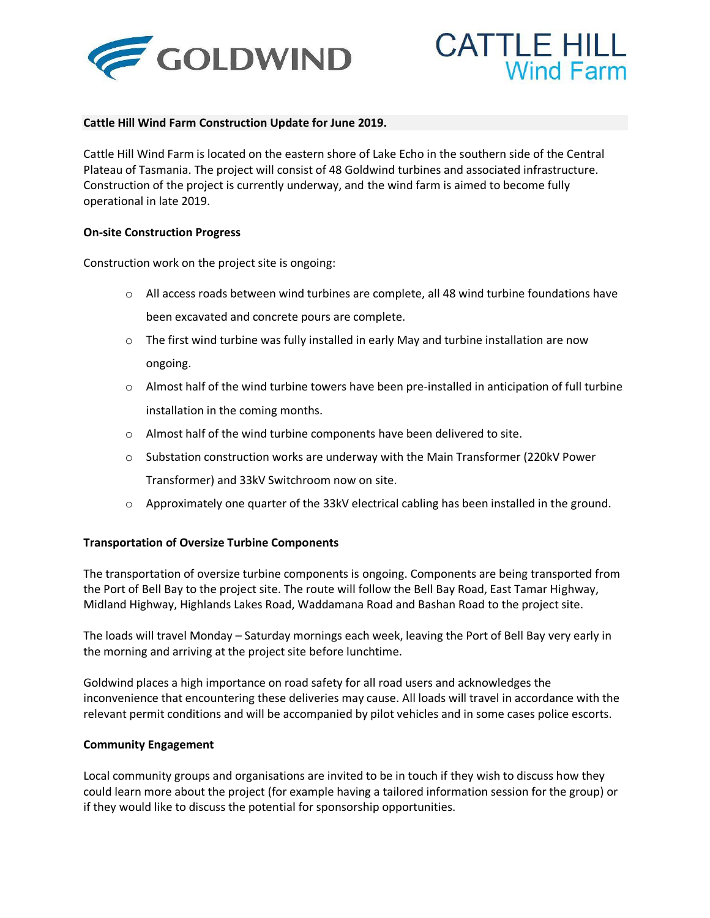



## **Cattle Hill Wind Farm Construction Update for June 2019.**

Cattle Hill Wind Farm is located on the eastern shore of Lake Echo in the southern side of the Central Plateau of Tasmania. The project will consist of 48 Goldwind turbines and associated infrastructure. Construction of the project is currently underway, and the wind farm is aimed to become fully operational in late 2019.

## **On-site Construction Progress**

Construction work on the project site is ongoing:

- $\circ$  All access roads between wind turbines are complete, all 48 wind turbine foundations have been excavated and concrete pours are complete.
- $\circ$  The first wind turbine was fully installed in early May and turbine installation are now ongoing.
- $\circ$  Almost half of the wind turbine towers have been pre-installed in anticipation of full turbine installation in the coming months.
- o Almost half of the wind turbine components have been delivered to site.
- $\circ$  Substation construction works are underway with the Main Transformer (220kV Power Transformer) and 33kV Switchroom now on site.
- o Approximately one quarter of the 33kV electrical cabling has been installed in the ground.

## **Transportation of Oversize Turbine Components**

The transportation of oversize turbine components is ongoing. Components are being transported from the Port of Bell Bay to the project site. The route will follow the Bell Bay Road, East Tamar Highway, Midland Highway, Highlands Lakes Road, Waddamana Road and Bashan Road to the project site.

The loads will travel Monday – Saturday mornings each week, leaving the Port of Bell Bay very early in the morning and arriving at the project site before lunchtime.

Goldwind places a high importance on road safety for all road users and acknowledges the inconvenience that encountering these deliveries may cause. All loads will travel in accordance with the relevant permit conditions and will be accompanied by pilot vehicles and in some cases police escorts.

## **Community Engagement**

Local community groups and organisations are invited to be in touch if they wish to discuss how they could learn more about the project (for example having a tailored information session for the group) or if they would like to discuss the potential for sponsorship opportunities.